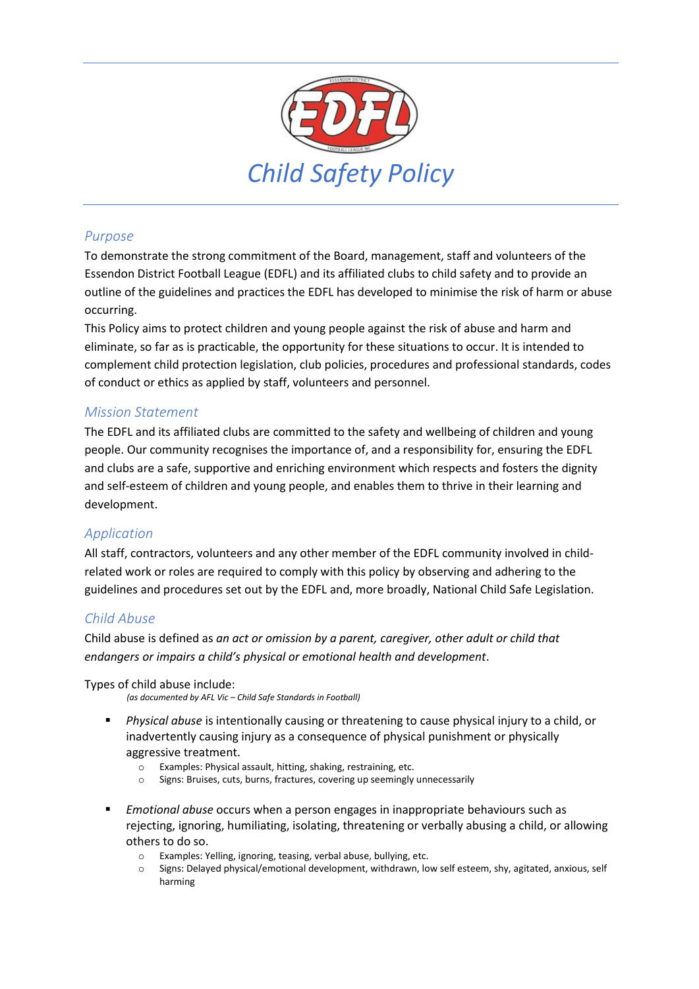

# *Purpose*

To demonstrate the strong commitment of the Board, management, staff and volunteers of the Essendon District Football League (EDFL) and its affiliated clubs to child safety and to provide an outline of the guidelines and practices the EDFL has developed to minimise the risk of harm or abuse occurring.

This Policy aims to protect children and young people against the risk of abuse and harm and eliminate, so far as is practicable, the opportunity for these situations to occur. It is intended to complement child protection legislation, club policies, procedures and professional standards, codes of conduct or ethics as applied by staff, volunteers and personnel.

# *Mission Statement*

The EDFL and its affiliated clubs are committed to the safety and wellbeing of children and young people. Our community recognises the importance of, and a responsibility for, ensuring the EDFL and clubs are a safe, supportive and enriching environment which respects and fosters the dignity and self-esteem of children and young people, and enables them to thrive in their learning and development.

# *Application*

All staff, contractors, volunteers and any other member of the EDFL community involved in childrelated work or roles are required to comply with this policy by observing and adhering to the guidelines and procedures set out by the EDFL and, more broadly, National Child Safe Legislation.

# *Child Abuse*

Child abuse is defined as *an act or omission by a parent, caregiver, other adult or child that endangers or impairs a child's physical or emotional health and development*.

Types of child abuse include:

*(as documented by AFL Vic – Child Safe Standards in Football)*

- *Physical abuse* is intentionally causing or threatening to cause physical injury to a child, or inadvertently causing injury as a consequence of physical punishment or physically aggressive treatment.
	- o Examples: Physical assault, hitting, shaking, restraining, etc.
	- o Signs: Bruises, cuts, burns, fractures, covering up seemingly unnecessarily
- *Emotional abuse* occurs when a person engages in inappropriate behaviours such as rejecting, ignoring, humiliating, isolating, threatening or verbally abusing a child, or allowing others to do so.
	- o Examples: Yelling, ignoring, teasing, verbal abuse, bullying, etc.
	- Signs: Delayed physical/emotional development, withdrawn, low self esteem, shy, agitated, anxious, self harming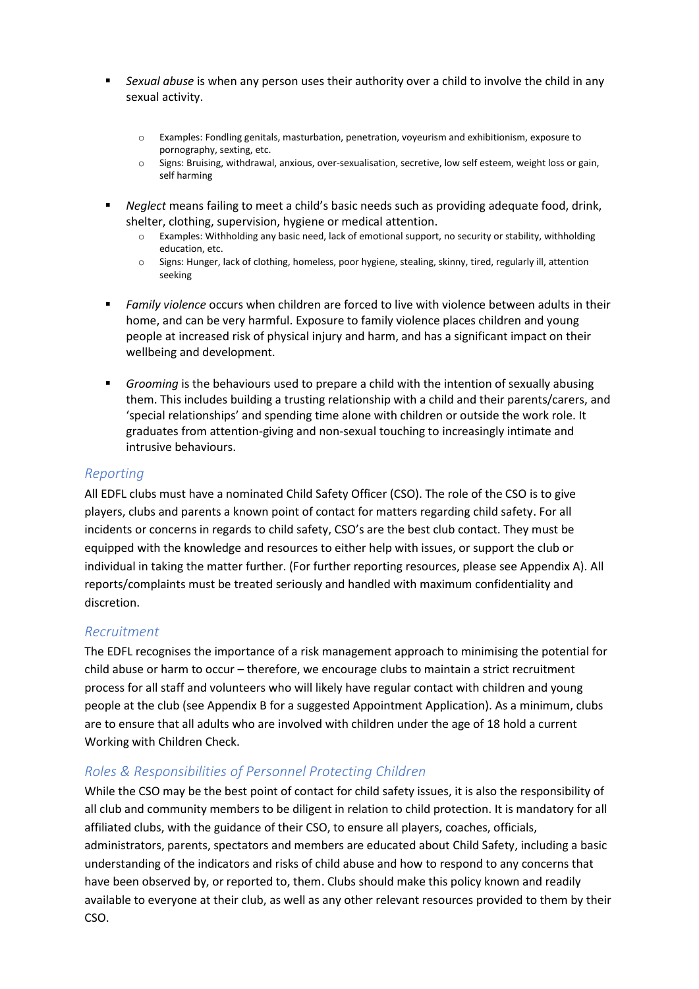- **EXALCH ADDE IS EXALCH ADDET A** Sexual abuse **SEXUALCH FIGHT A** Sexual above the child in any sexual activity.
	- o Examples: Fondling genitals, masturbation, penetration, voyeurism and exhibitionism, exposure to pornography, sexting, etc.
	- o Signs: Bruising, withdrawal, anxious, over-sexualisation, secretive, low self esteem, weight loss or gain, self harming
- *Neglect* means failing to meet a child's basic needs such as providing adequate food, drink, shelter, clothing, supervision, hygiene or medical attention.
	- o Examples: Withholding any basic need, lack of emotional support, no security or stability, withholding education, etc.
	- o Signs: Hunger, lack of clothing, homeless, poor hygiene, stealing, skinny, tired, regularly ill, attention seeking
- *Family violence* occurs when children are forced to live with violence between adults in their home, and can be very harmful. Exposure to family violence places children and young people at increased risk of physical injury and harm, and has a significant impact on their wellbeing and development.
- **•** *Grooming* is the behaviours used to prepare a child with the intention of sexually abusing them. This includes building a trusting relationship with a child and their parents/carers, and 'special relationships' and spending time alone with children or outside the work role. It graduates from attention-giving and non-sexual touching to increasingly intimate and intrusive behaviours.

#### *Reporting*

All EDFL clubs must have a nominated Child Safety Officer (CSO). The role of the CSO is to give players, clubs and parents a known point of contact for matters regarding child safety. For all incidents or concerns in regards to child safety, CSO's are the best club contact. They must be equipped with the knowledge and resources to either help with issues, or support the club or individual in taking the matter further. (For further reporting resources, please see Appendix A). All reports/complaints must be treated seriously and handled with maximum confidentiality and discretion.

#### *Recruitment*

The EDFL recognises the importance of a risk management approach to minimising the potential for child abuse or harm to occur – therefore, we encourage clubs to maintain a strict recruitment process for all staff and volunteers who will likely have regular contact with children and young people at the club (see Appendix B for a suggested Appointment Application). As a minimum, clubs are to ensure that all adults who are involved with children under the age of 18 hold a current Working with Children Check.

# *Roles & Responsibilities of Personnel Protecting Children*

While the CSO may be the best point of contact for child safety issues, it is also the responsibility of all club and community members to be diligent in relation to child protection. It is mandatory for all affiliated clubs, with the guidance of their CSO, to ensure all players, coaches, officials, administrators, parents, spectators and members are educated about Child Safety, including a basic understanding of the indicators and risks of child abuse and how to respond to any concerns that have been observed by, or reported to, them. Clubs should make this policy known and readily available to everyone at their club, as well as any other relevant resources provided to them by their CSO.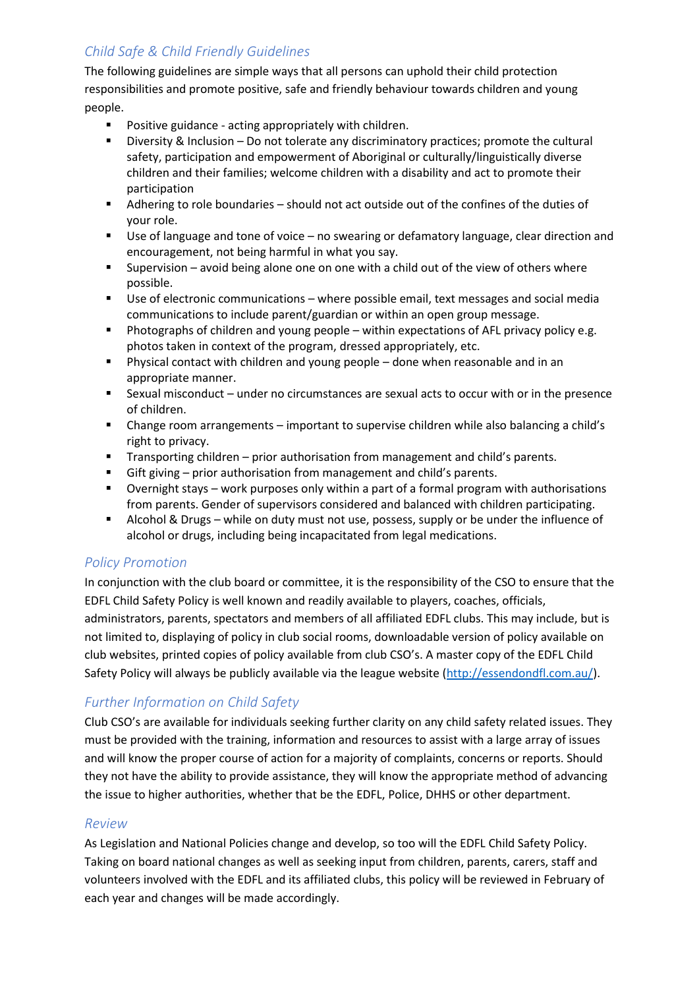# *Child Safe & Child Friendly Guidelines*

The following guidelines are simple ways that all persons can uphold their child protection responsibilities and promote positive, safe and friendly behaviour towards children and young people.

- Positive guidance acting appropriately with children.
- Diversity & Inclusion Do not tolerate any discriminatory practices; promote the cultural safety, participation and empowerment of Aboriginal or culturally/linguistically diverse children and their families; welcome children with a disability and act to promote their participation
- Adhering to role boundaries should not act outside out of the confines of the duties of your role.
- Use of language and tone of voice no swearing or defamatory language, clear direction and encouragement, not being harmful in what you say.
- Supervision avoid being alone one on one with a child out of the view of others where possible.
- Use of electronic communications where possible email, text messages and social media communications to include parent/guardian or within an open group message.
- **•** Photographs of children and young people within expectations of AFL privacy policy e.g. photos taken in context of the program, dressed appropriately, etc.
- Physical contact with children and young people done when reasonable and in an appropriate manner.
- Sexual misconduct under no circumstances are sexual acts to occur with or in the presence of children.
- Change room arrangements important to supervise children while also balancing a child's right to privacy.
- Transporting children prior authorisation from management and child's parents.
- Gift giving prior authorisation from management and child's parents.
- Overnight stays work purposes only within a part of a formal program with authorisations from parents. Gender of supervisors considered and balanced with children participating.
- Alcohol & Drugs while on duty must not use, possess, supply or be under the influence of alcohol or drugs, including being incapacitated from legal medications.

# *Policy Promotion*

In conjunction with the club board or committee, it is the responsibility of the CSO to ensure that the EDFL Child Safety Policy is well known and readily available to players, coaches, officials, administrators, parents, spectators and members of all affiliated EDFL clubs. This may include, but is not limited to, displaying of policy in club social rooms, downloadable version of policy available on club websites, printed copies of policy available from club CSO's. A master copy of the EDFL Child Safety Policy will always be publicly available via the league website [\(http://essendondfl.com.au/\)](http://essendondfl.com.au/).

# *Further Information on Child Safety*

Club CSO's are available for individuals seeking further clarity on any child safety related issues. They must be provided with the training, information and resources to assist with a large array of issues and will know the proper course of action for a majority of complaints, concerns or reports. Should they not have the ability to provide assistance, they will know the appropriate method of advancing the issue to higher authorities, whether that be the EDFL, Police, DHHS or other department.

# *Review*

As Legislation and National Policies change and develop, so too will the EDFL Child Safety Policy. Taking on board national changes as well as seeking input from children, parents, carers, staff and volunteers involved with the EDFL and its affiliated clubs, this policy will be reviewed in February of each year and changes will be made accordingly.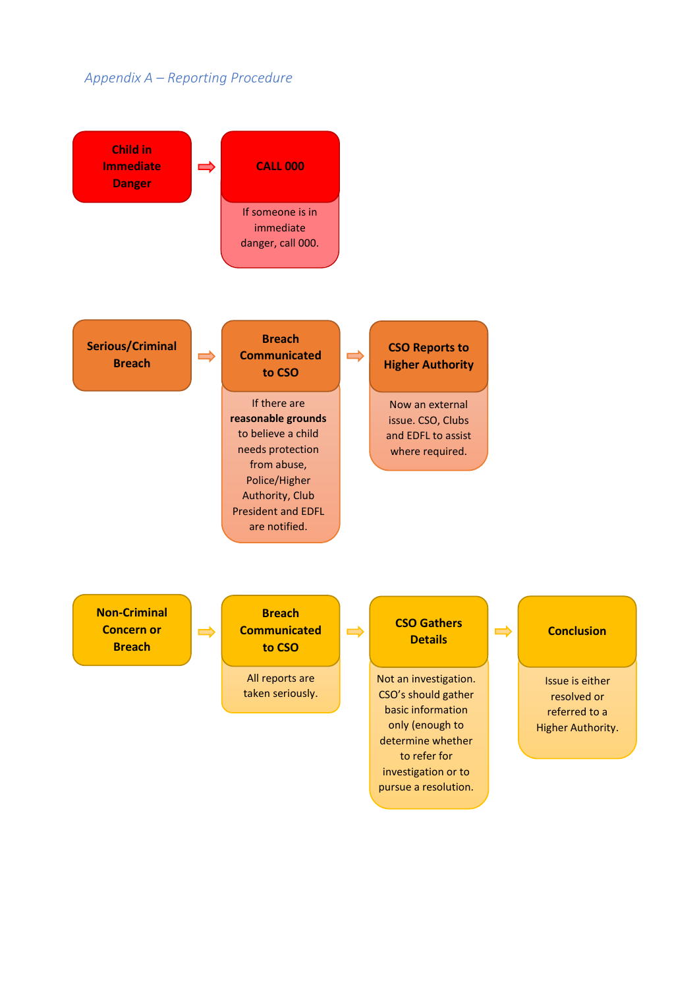# *Appendix A – Reporting Procedure*



pursue a resolution.

Higher Authority.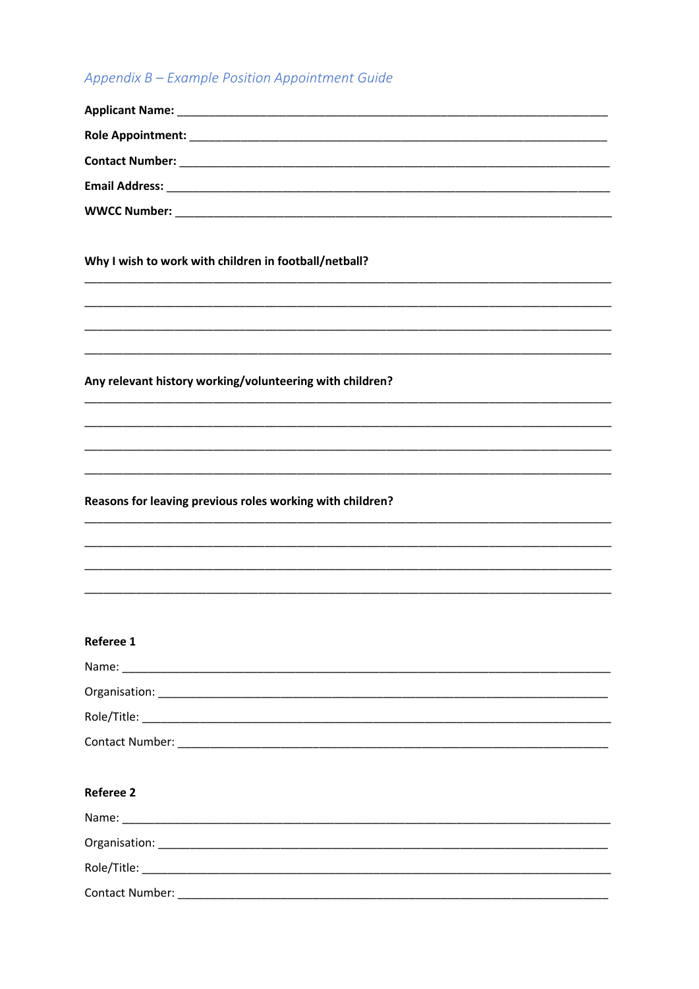# Appendix B - Example Position Appointment Guide

| Why I wish to work with children in football/netball?     |
|-----------------------------------------------------------|
|                                                           |
| Any relevant history working/volunteering with children?  |
|                                                           |
|                                                           |
|                                                           |
| Reasons for leaving previous roles working with children? |
|                                                           |
|                                                           |
|                                                           |
|                                                           |
| Referee 1                                                 |
|                                                           |
|                                                           |
|                                                           |
|                                                           |
| <b>Referee 2</b>                                          |
|                                                           |
|                                                           |
|                                                           |
|                                                           |